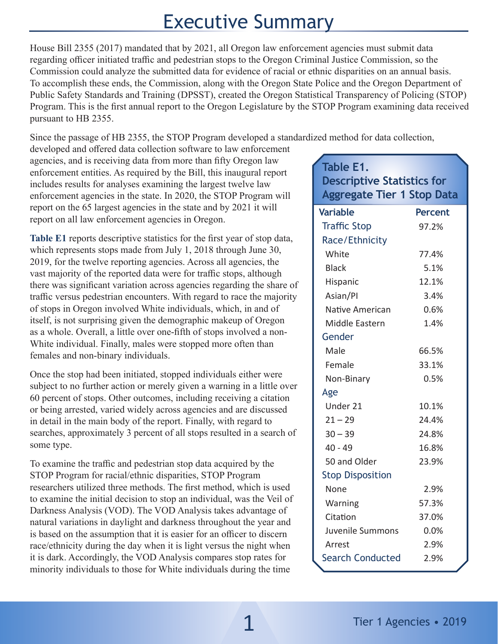## Executive Summary

House Bill 2355 (2017) mandated that by 2021, all Oregon law enforcement agencies must submit data regarding officer initiated traffic and pedestrian stops to the Oregon Criminal Justice Commission, so the Commission could analyze the submitted data for evidence of racial or ethnic disparities on an annual basis. To accomplish these ends, the Commission, along with the Oregon State Police and the Oregon Department of Public Safety Standards and Training (DPSST), created the Oregon Statistical Transparency of Policing (STOP) Program. This is the first annual report to the Oregon Legislature by the STOP Program examining data received pursuant to HB 2355.

Since the passage of HB 2355, the STOP Program developed a standardized method for data collection,

developed and offered data collection software to law enforcement agencies, and is receiving data from more than fifty Oregon law enforcement entities. As required by the Bill, this inaugural report includes results for analyses examining the largest twelve law enforcement agencies in the state. In 2020, the STOP Program will report on the 65 largest agencies in the state and by 2021 it will report on all law enforcement agencies in Oregon.

**Table E1** reports descriptive statistics for the first year of stop data, which represents stops made from July 1, 2018 through June 30, 2019, for the twelve reporting agencies. Across all agencies, the vast majority of the reported data were for traffic stops, although there was significant variation across agencies regarding the share of traffic versus pedestrian encounters. With regard to race the majority of stops in Oregon involved White individuals, which, in and of itself, is not surprising given the demographic makeup of Oregon as a whole. Overall, a little over one-fifth of stops involved a non-White individual. Finally, males were stopped more often than females and non-binary individuals.

Once the stop had been initiated, stopped individuals either were subject to no further action or merely given a warning in a little over 60 percent of stops. Other outcomes, including receiving a citation or being arrested, varied widely across agencies and are discussed in detail in the main body of the report. Finally, with regard to searches, approximately 3 percent of all stops resulted in a search of some type.

To examine the traffic and pedestrian stop data acquired by the STOP Program for racial/ethnic disparities, STOP Program researchers utilized three methods. The first method, which is used to examine the initial decision to stop an individual, was the Veil of Darkness Analysis (VOD). The VOD Analysis takes advantage of natural variations in daylight and darkness throughout the year and is based on the assumption that it is easier for an officer to discern race/ethnicity during the day when it is light versus the night when it is dark. Accordingly, the VOD Analysis compares stop rates for minority individuals to those for White individuals during the time

| <b>Table E1.</b>                  |                |
|-----------------------------------|----------------|
| <b>Descriptive Statistics for</b> |                |
| <b>Aggregate Tier 1 Stop Data</b> |                |
| <b>Variable</b>                   | <b>Percent</b> |
| <b>Traffic Stop</b>               | 97.2%          |
| Race/Ethnicity                    |                |
| White                             | 77.4%          |
| Black                             | 5.1%           |
| Hispanic                          | 12.1%          |
| Asian/Pl                          | 3.4%           |
| Native American                   | 0.6%           |
| Middle Eastern                    | 1.4%           |
| Gender                            |                |
| Male                              | 66.5%          |
| Female                            | 33.1%          |
| Non-Binary                        | 0.5%           |
| Age                               |                |
| Under 21                          | 10.1%          |
| $21 - 29$                         | 24.4%          |
| $30 - 39$                         | 24.8%          |
| $40 - 49$                         | 16.8%          |
| 50 and Older                      | 23.9%          |
| <b>Stop Disposition</b>           |                |
| None                              | 2.9%           |
| Warning                           | 57.3%          |
| Citation                          | 37.0%          |
| Juvenile Summons                  | 0.0%           |
| Arrest                            | 2.9%           |
| <b>Search Conducted</b>           | 2.9%           |